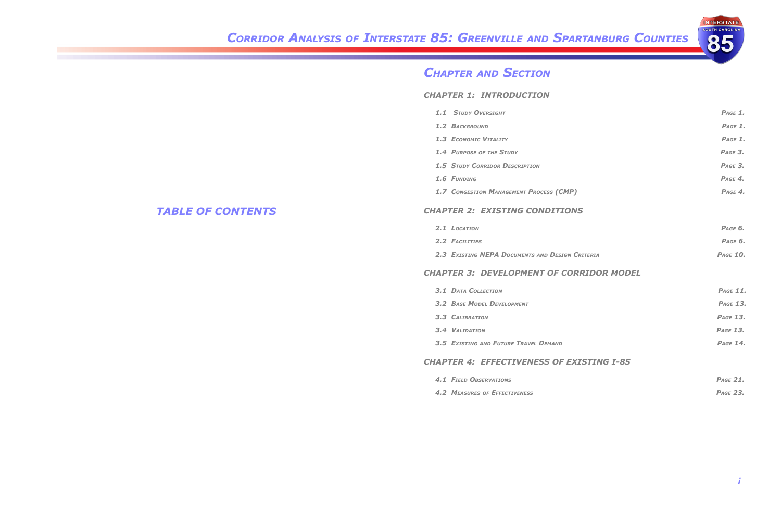## *Corridor Analysis of Interstate 85: Greenville and Spartanburg Counties*

### *Table of Contents*



- 
- 
- 
- 
- 
- 
- 

- 
- 

- 
- 
- 
- 
- 
- 

## *Chapter and Section*

### *Chapter 1: Introduction*

- *1.1 Study Oversight Page 1.*
- *1.2  Background Page 1.*
- *1.3  Economic Vitality Page 1.*
- *1.4  Purpose of the Study Page 3.*
- *1.5 Study Corridor Description Page 3.*
- *1.6  Funding Page 4.*
- *1.7 Congestion Management Process (CMP) Page 4.*

### *Chapter 2:  Existing Conditions*

- *2.1  Location Page 6.*
- *2.2  Facilities Page 6.*
- *2.3  Existing NEPA Documents and Design Criteria Page 10.*

### *Chapter 3:  Development of Corridor Model*

- *3.1  Data Collection Page 11.*
- *3.2  Base Model Development Page 13.*
- *3.3 Calibration Page 13.*
- *3.4  Validation Page 13.*
- *3.5  Existing and Future Travel Demand Page 14.*

## *Chapter 4:  Effectiveness of Existing I-85*

- *4.1  Field Observations Page 21.*
- *4.2  Measures of Effectiveness Page 23.*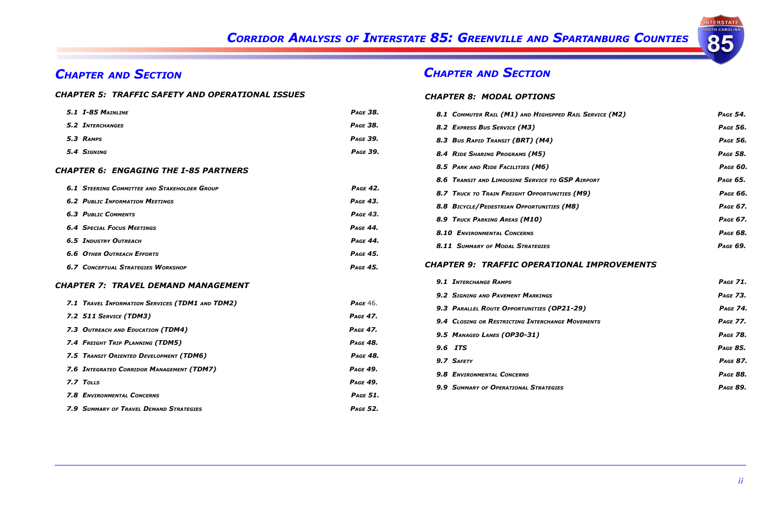# *Chapter and Section Chapter and Section*

# *Corridor Analysis of Interstate 85: Greenville and Spartanburg Counties*

### *Chapter 5: Traffic Safety and Operational Issues*

### *Chapter 8:  Modal Options*

| 5.1 I-85 MAINLINE                                   | <b>PAGE 38.</b> | 8.1 COMMUTER RAIL (M1) AND HIGHSPPED RAIL SERVICE (M2) | PAGE 54.        |
|-----------------------------------------------------|-----------------|--------------------------------------------------------|-----------------|
| <b>5.2 INTERCHANGES</b>                             | <b>PAGE 38.</b> | 8.2 EXPRESS BUS SERVICE (M3)                           | <b>PAGE 56.</b> |
| 5.3 RAMPS                                           | <b>PAGE 39.</b> | 8.3 Bus Rapid Transit (BRT) (M4)                       | <b>PAGE 56.</b> |
| 5.4 SIGNING                                         | <b>PAGE 39.</b> | 8.4 RIDE SHARING PROGRAMS (M5)                         | PAGE 58.        |
| <b>CHAPTER 6: ENGAGING THE I-85 PARTNERS</b>        |                 | 8.5 PARK AND RIDE FACILITIES (M6)                      | <b>PAGE 60.</b> |
|                                                     |                 | 8.6 TRANSIT AND LIMOUSINE SERVICE TO GSP AIRPORT       | PAGE 65.        |
| <b>6.1 STEERING COMMITTEE AND STAKEHOLDER GROUP</b> | <b>PAGE 42.</b> | 8.7 TRUCK TO TRAIN FREIGHT OPPORTUNITIES (M9)          | <b>PAGE 66.</b> |
| <b>6.2 PUBLIC INFORMATION MEETINGS</b>              | <b>PAGE 43.</b> | 8.8 BICYCLE/PEDESTRIAN OPPORTUNITIES (M8)              | PAGE 67.        |
| <b>6.3 PUBLIC COMMENTS</b>                          | <b>PAGE 43.</b> | 8.9 TRUCK PARKING AREAS (M10)                          | PAGE 67.        |
| <b>6.4 SPECIAL FOCUS MEETINGS</b>                   | <b>PAGE 44.</b> | 8.10 ENVIRONMENTAL CONCERNS                            | <b>PAGE 68.</b> |
| <b>6.5 INDUSTRY OUTREACH</b>                        | <b>PAGE 44.</b> |                                                        | PAGE 69.        |
| <b>6.6 OTHER OUTREACH EFFORTS</b>                   | <b>PAGE 45.</b> | <b>8.11 SUMMARY OF MODAL STRATEGIES</b>                |                 |
| <b>6.7 CONCEPTUAL STRATEGIES WORKSHOP</b>           | <b>PAGE 45.</b> | <b>CHAPTER 9: TRAFFIC OPERATIONAL IMPROVEMENTS</b>     |                 |
| <b>CHAPTER 7: TRAVEL DEMAND MANAGEMENT</b>          |                 | <b>9.1 INTERCHANGE RAMPS</b>                           | <b>PAGE 71.</b> |
|                                                     |                 | 9.2 SIGNING AND PAVEMENT MARKINGS                      | <b>PAGE 73.</b> |
| 7.1 TRAVEL INFORMATION SERVICES (TDM1 AND TDM2)     | PAGE $46.$      | 9.3 PARALLEL ROUTE OPPORTUNITIES (OP21-29)             | <b>PAGE 74.</b> |
| 7.2 511 SERVICE (TDM3)                              | <b>PAGE 47.</b> | 9.4 CLOSING OR RESTRICTING INTERCHANGE MOVEMENTS       | <b>PAGE 77.</b> |
| 7.3 OUTREACH AND EDUCATION (TDM4)                   | <b>PAGE 47.</b> | 9.5 MANAGED LANES (OP30-31)                            | <b>PAGE 78.</b> |
| 7.4 FREIGHT TRIP PLANNING (TDM5)                    | <b>PAGE 48.</b> |                                                        |                 |
| 7.5 TRANSIT ORIENTED DEVELOPMENT (TDM6)             | <b>PAGE 48.</b> | 9.6 ITS                                                | <b>PAGE 85.</b> |
| 7.6 INTEGRATED CORRIDOR MANAGEMENT (TDM7)           | <b>PAGE 49.</b> | 9.7 SAFETY                                             | <b>PAGE 87.</b> |
| 7.7 TOLLS                                           | <b>PAGE 49.</b> | 9.8 ENVIRONMENTAL CONCERNS                             | <b>PAGE 88.</b> |
|                                                     |                 | 9.9 SUMMARY OF OPERATIONAL STRATEGIES                  |                 |
| 7.8 ENVIRONMENTAL CONCERNS                          | <b>PAGE 51.</b> |                                                        |                 |
| 7.9 SUMMARY OF TRAVEL DEMAND STRATEGIES             | <b>PAGE 52.</b> |                                                        |                 |

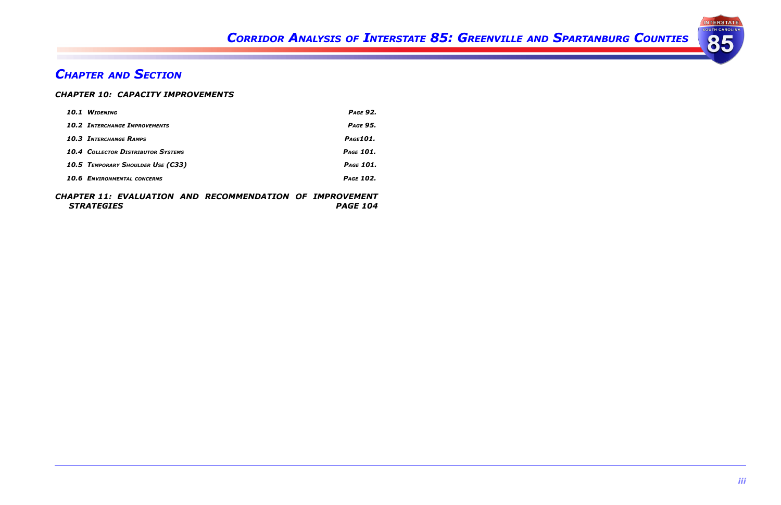## *Chapter and Section Chapter and Section*

# *Corridor Analysis of Interstate 85: Greenville and Spartanburg Counties*

### *Chapter 10: Capacity Improvements*

| <b>WIDENING</b><br>10.1                   | <b>PAGE 92.</b>  |
|-------------------------------------------|------------------|
| <b>10.2 INTERCHANGE IMPROVEMENTS</b>      | <b>PAGE 95.</b>  |
| <b>10.3 INTERCHANGE RAMPS</b>             | Page 101.        |
| <b>10.4 COLLECTOR DISTRIBUTOR SYSTEMS</b> | PAGE 101.        |
| 10.5 TEMPORARY SHOULDER USE (C33)         | PAGE 101.        |
| <b>10.6 ENVIRONMENTAL CONCERNS</b>        | <b>PAGE 102.</b> |

### *Chapter 11:  Evaluation and Recommendation of Improvement Strategies Page 104*